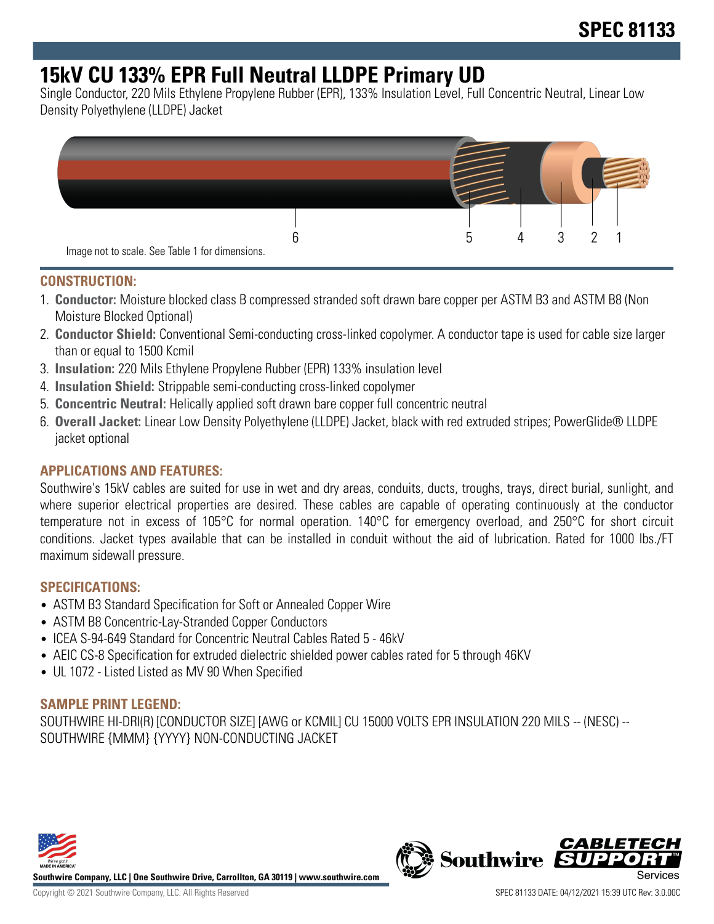# **15kV CU 133% EPR Full Neutral LLDPE Primary UD**

Single Conductor, 220 Mils Ethylene Propylene Rubber (EPR), 133% Insulation Level, Full Concentric Neutral, Linear Low Density Polyethylene (LLDPE) Jacket



#### **CONSTRUCTION:**

- 1. **Conductor:** Moisture blocked class B compressed stranded soft drawn bare copper per ASTM B3 and ASTM B8 (Non Moisture Blocked Optional)
- 2. **Conductor Shield:** Conventional Semi-conducting cross-linked copolymer. A conductor tape is used for cable size larger than or equal to 1500 Kcmil
- 3. **Insulation:** 220 Mils Ethylene Propylene Rubber (EPR) 133% insulation level
- 4. **Insulation Shield:** Strippable semi-conducting cross-linked copolymer
- 5. **Concentric Neutral:** Helically applied soft drawn bare copper full concentric neutral
- 6. **Overall Jacket:** Linear Low Density Polyethylene (LLDPE) Jacket, black with red extruded stripes; PowerGlide® LLDPE jacket optional

## **APPLICATIONS AND FEATURES:**

Southwire's 15kV cables are suited for use in wet and dry areas, conduits, ducts, troughs, trays, direct burial, sunlight, and where superior electrical properties are desired. These cables are capable of operating continuously at the conductor temperature not in excess of 105°C for normal operation. 140°C for emergency overload, and 250°C for short circuit conditions. Jacket types available that can be installed in conduit without the aid of lubrication. Rated for 1000 lbs./FT maximum sidewall pressure.

#### **SPECIFICATIONS:**

- ASTM B3 Standard Specification for Soft or Annealed Copper Wire
- ASTM B8 Concentric-Lay-Stranded Copper Conductors
- ICEA S-94-649 Standard for Concentric Neutral Cables Rated 5 46kV
- AEIC CS-8 Specification for extruded dielectric shielded power cables rated for 5 through 46KV
- UL 1072 Listed Listed as MV 90 When Specified

#### **SAMPLE PRINT LEGEND:**

SOUTHWIRE HI-DRI(R) [CONDUCTOR SIZE] [AWG or KCMIL] CU 15000 VOLTS EPR INSULATION 220 MILS -- (NESC) -- SOUTHWIRE {MMM} {YYYY} NON-CONDUCTING JACKET



**Southwire Company, LLC | One Southwire Drive, Carrollton, GA 30119 | www.southwire.com**

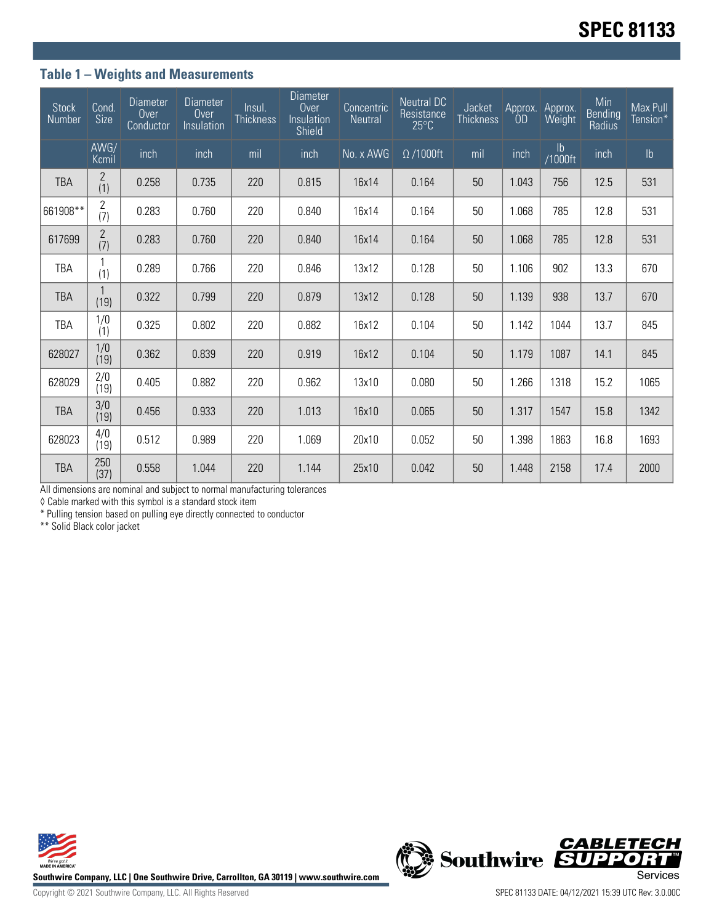## **Table 1 – Weights and Measurements**

| <b>Stock</b><br>Number | Cond.<br><b>Size</b>  | <b>Diameter</b><br>Over<br>Conductor | <b>Diameter</b><br>Over<br>Insulation | Insul.<br><b>Thickness</b> | <b>Diameter</b><br><b>Over</b><br>Insulation<br>Shield | Concentric<br><b>Neutral</b> | <b>Neutral DC</b><br>Resistance<br>$25^{\circ}$ C | Jacket<br><b>Thickness</b> | Approx.<br>0D | Approx.<br>Weight        | Min<br><b>Bending</b><br>Radius | Max Pull<br>Tension* |
|------------------------|-----------------------|--------------------------------------|---------------------------------------|----------------------------|--------------------------------------------------------|------------------------------|---------------------------------------------------|----------------------------|---------------|--------------------------|---------------------------------|----------------------|
|                        | AWG/<br>Kcmil         | inch                                 | inch                                  | mil                        | inch                                                   | No. x AWG                    | $\Omega$ /1000ft                                  | mil                        | inch          | $\mathsf{lb}$<br>/1000ft | inch                            | $\mathsf{lb}$        |
| <b>TBA</b>             | 2<br>(1)              | 0.258                                | 0.735                                 | 220                        | 0.815                                                  | 16x14                        | 0.164                                             | 50                         | 1.043         | 756                      | 12.5                            | 531                  |
| 661908**               | $\overline{c}$<br>(7) | 0.283                                | 0.760                                 | 220                        | 0.840                                                  | 16x14                        | 0.164                                             | 50                         | 1.068         | 785                      | 12.8                            | 531                  |
| 617699                 | $\overline{2}$<br>(7) | 0.283                                | 0.760                                 | 220                        | 0.840                                                  | 16x14                        | 0.164                                             | 50                         | 1.068         | 785                      | 12.8                            | 531                  |
| TBA                    | (1)                   | 0.289                                | 0.766                                 | 220                        | 0.846                                                  | 13x12                        | 0.128                                             | 50                         | 1.106         | 902                      | 13.3                            | 670                  |
| <b>TBA</b>             | 1<br>(19)             | 0.322                                | 0.799                                 | 220                        | 0.879                                                  | 13x12                        | 0.128                                             | 50                         | 1.139         | 938                      | 13.7                            | 670                  |
| TBA                    | 1/0<br>(1)            | 0.325                                | 0.802                                 | 220                        | 0.882                                                  | 16x12                        | 0.104                                             | 50                         | 1.142         | 1044                     | 13.7                            | 845                  |
| 628027                 | 1/0<br>(19)           | 0.362                                | 0.839                                 | 220                        | 0.919                                                  | 16x12                        | 0.104                                             | 50                         | 1.179         | 1087                     | 14.1                            | 845                  |
| 628029                 | 2/0<br>(19)           | 0.405                                | 0.882                                 | 220                        | 0.962                                                  | 13x10                        | 0.080                                             | 50                         | 1.266         | 1318                     | 15.2                            | 1065                 |
| <b>TBA</b>             | 3/0<br>(19)           | 0.456                                | 0.933                                 | 220                        | 1.013                                                  | 16x10                        | 0.065                                             | 50                         | 1.317         | 1547                     | 15.8                            | 1342                 |
| 628023                 | 4/0<br>(19)           | 0.512                                | 0.989                                 | 220                        | 1.069                                                  | 20x10                        | 0.052                                             | 50                         | 1.398         | 1863                     | 16.8                            | 1693                 |
| <b>TBA</b>             | 250<br>(37)           | 0.558                                | 1.044                                 | 220                        | 1.144                                                  | 25x10                        | 0.042                                             | 50                         | 1.448         | 2158                     | 17.4                            | 2000                 |

All dimensions are nominal and subject to normal manufacturing tolerances

◊ Cable marked with this symbol is a standard stock item

\* Pulling tension based on pulling eye directly connected to conductor

\*\* Solid Black color jacket





Copyright © 2021 Southwire Company, LLC. All Rights Reserved SPEC 81133 DATE: 04/12/2021 15:39 UTC Rev: 3.0.00C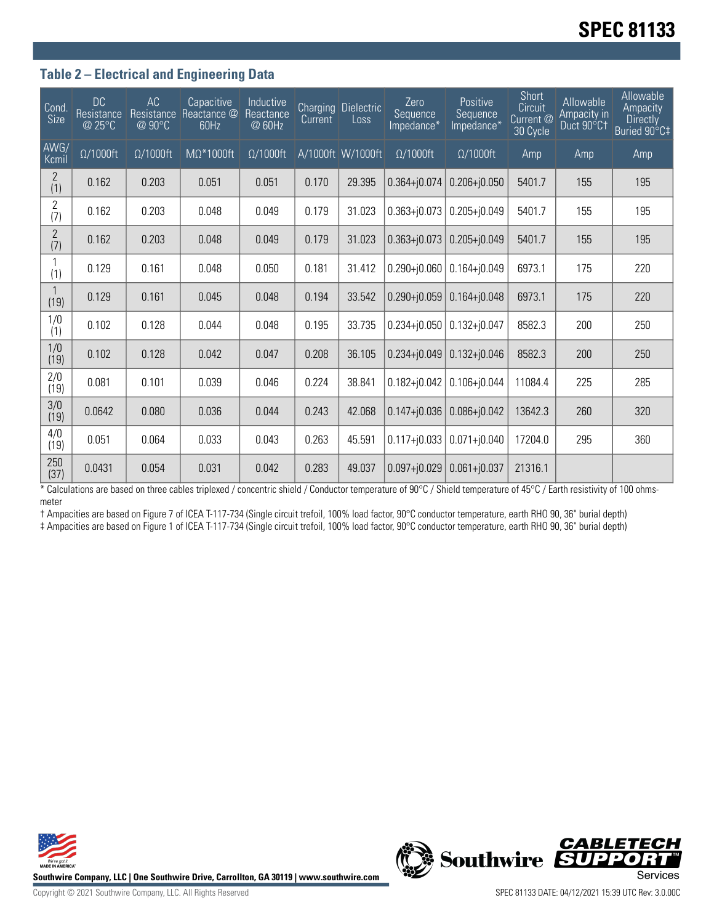## **Table 2 – Electrical and Engineering Data**

| Cond.<br>Size         | <b>DC</b><br>Resistance<br>@ 25°C | AC<br>Resistance<br>@ 90°C | Capacitive<br>Reactance @<br>60Hz | Inductive<br>Reactance<br>@ 60Hz | Current | <b>Charging Dielectric</b><br>Loss | Zero<br>Sequence<br>Impedance* | Positive<br>Sequence<br>Impedance* | Short<br>Circuit<br>Current @<br>30 Cycle | Allowable<br>Ampacity in<br>Duct 90°C1 | Allowable<br>Ampacity<br><b>Directly</b><br>Buried 90°C‡ |
|-----------------------|-----------------------------------|----------------------------|-----------------------------------|----------------------------------|---------|------------------------------------|--------------------------------|------------------------------------|-------------------------------------------|----------------------------------------|----------------------------------------------------------|
| AWG/<br>Kcmil         | $\Omega/1000$ ft                  | $\Omega/1000$ ft           | $M\Omega^*1000$ ft                | $\Omega/1000$ ft                 |         | A/1000ft W/1000ft                  | $\Omega/1000$ ft               | $\Omega/1000$ ft                   | Amp                                       | Amp                                    | Amp                                                      |
| $\overline{2}$<br>(1) | 0.162                             | 0.203                      | 0.051                             | 0.051                            | 0.170   | 29.395                             | $0.364 + j0.074$               | $0.206 + j0.050$                   | 5401.7                                    | 155                                    | 195                                                      |
| $\overline{2}$<br>(7) | 0.162                             | 0.203                      | 0.048                             | 0.049                            | 0.179   | 31.023                             | $0.363 + j0.073$               | $0.205 + j0.049$                   | 5401.7                                    | 155                                    | 195                                                      |
| $\mathbf{2}$<br>(7)   | 0.162                             | 0.203                      | 0.048                             | 0.049                            | 0.179   | 31.023                             | $0.363 + j0.073$               | $0.205 + j0.049$                   | 5401.7                                    | 155                                    | 195                                                      |
| (1)                   | 0.129                             | 0.161                      | 0.048                             | 0.050                            | 0.181   | 31.412                             | $0.290 + j0.060$               | $0.164 + j0.049$                   | 6973.1                                    | 175                                    | 220                                                      |
| (19)                  | 0.129                             | 0.161                      | 0.045                             | 0.048                            | 0.194   | 33.542                             | $0.290 + j0.059$               | $0.164 + j0.048$                   | 6973.1                                    | 175                                    | 220                                                      |
| 1/0<br>(1)            | 0.102                             | 0.128                      | 0.044                             | 0.048                            | 0.195   | 33.735                             | $0.234 + j0.050$               | $0.132 + j0.047$                   | 8582.3                                    | 200                                    | 250                                                      |
| 1/0<br>(19)           | 0.102                             | 0.128                      | 0.042                             | 0.047                            | 0.208   | 36.105                             | $0.234 + 0.049$                | $0.132 + j0.046$                   | 8582.3                                    | 200                                    | 250                                                      |
| 2/0<br>(19)           | 0.081                             | 0.101                      | 0.039                             | 0.046                            | 0.224   | 38.841                             | $0.182 + j0.042$               | $0.106 + j0.044$                   | 11084.4                                   | 225                                    | 285                                                      |
| 3/0<br>(19)           | 0.0642                            | 0.080                      | 0.036                             | 0.044                            | 0.243   | 42.068                             | $0.147 + 0.036$                | $0.086 + j0.042$                   | 13642.3                                   | 260                                    | 320                                                      |
| 4/0<br>(19)           | 0.051                             | 0.064                      | 0.033                             | 0.043                            | 0.263   | 45.591                             | $0.117 + j0.033$               | $0.071 + j0.040$                   | 17204.0                                   | 295                                    | 360                                                      |
| 250<br>(37)           | 0.0431                            | 0.054                      | 0.031                             | 0.042                            | 0.283   | 49.037                             | $0.097 + 0.029$                | $0.061 + j0.037$                   | 21316.1                                   |                                        |                                                          |

\* Calculations are based on three cables triplexed / concentric shield / Conductor temperature of 90°C / Shield temperature of 45°C / Earth resistivity of 100 ohmsmeter

† Ampacities are based on Figure 7 of ICEA T-117-734 (Single circuit trefoil, 100% load factor, 90°C conductor temperature, earth RHO 90, 36" burial depth)

‡ Ampacities are based on Figure 1 of ICEA T-117-734 (Single circuit trefoil, 100% load factor, 90°C conductor temperature, earth RHO 90, 36" burial depth)



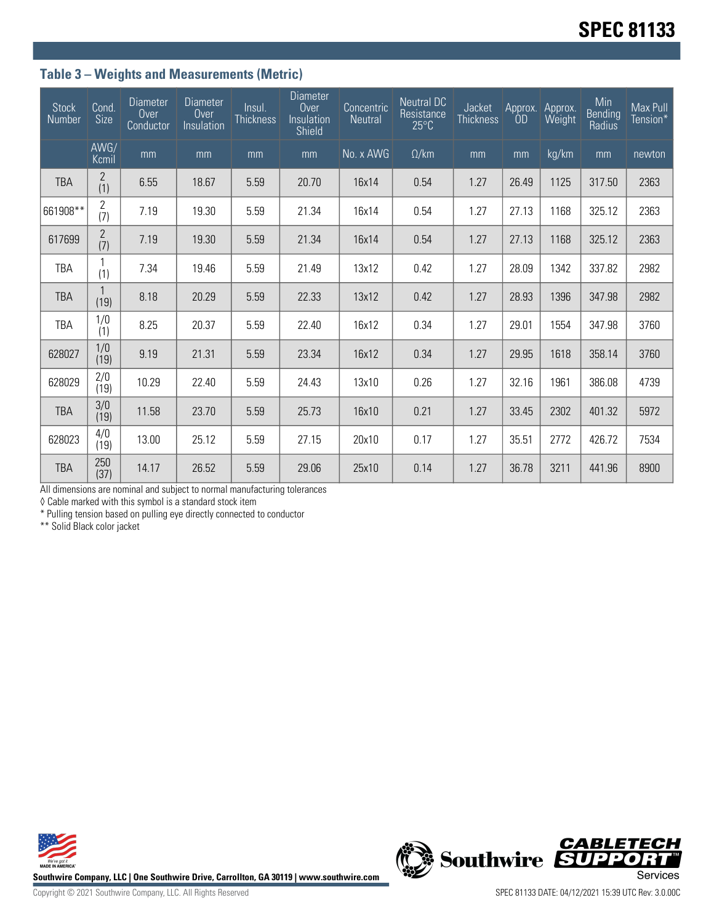## **Table 3 – Weights and Measurements (Metric)**

| <b>Stock</b><br>Number | Cond.<br>Size         | <b>Diameter</b><br>Over<br>Conductor | <b>Diameter</b><br>Over<br>Insulation | Insul.<br><b>Thickness</b> | Diameter<br>Over<br>Insulation<br>Shield | Concentric<br><b>Neutral</b> | <b>Neutral DC</b><br>Resistance<br>$25^{\circ}$ C | Jacket<br><b>Thickness</b> | Approx.<br>0D | Approx.<br>Weight | Min<br><b>Bending</b><br>Radius | Max Pull<br>Tension* |
|------------------------|-----------------------|--------------------------------------|---------------------------------------|----------------------------|------------------------------------------|------------------------------|---------------------------------------------------|----------------------------|---------------|-------------------|---------------------------------|----------------------|
|                        | AWG/<br>Kcmil         | mm                                   | mm                                    | mm                         | mm                                       | No. x AWG                    | $\Omega$ /km                                      | mm                         | mm            | kg/km             | mm                              | newton               |
| <b>TBA</b>             | $\overline{2}$<br>(1) | 6.55                                 | 18.67                                 | 5.59                       | 20.70                                    | 16x14                        | 0.54                                              | 1.27                       | 26.49         | 1125              | 317.50                          | 2363                 |
| 661908**               | $\overline{2}$<br>(7) | 7.19                                 | 19.30                                 | 5.59                       | 21.34                                    | 16x14                        | 0.54                                              | 1.27                       | 27.13         | 1168              | 325.12                          | 2363                 |
| 617699                 | $\overline{c}$<br>(7) | 7.19                                 | 19.30                                 | 5.59                       | 21.34                                    | 16x14                        | 0.54                                              | 1.27                       | 27.13         | 1168              | 325.12                          | 2363                 |
| TBA                    | (1)                   | 7.34                                 | 19.46                                 | 5.59                       | 21.49                                    | 13x12                        | 0.42                                              | 1.27                       | 28.09         | 1342              | 337.82                          | 2982                 |
| <b>TBA</b>             | 1<br>(19)             | 8.18                                 | 20.29                                 | 5.59                       | 22.33                                    | 13x12                        | 0.42                                              | 1.27                       | 28.93         | 1396              | 347.98                          | 2982                 |
| <b>TBA</b>             | 1/0<br>(1)            | 8.25                                 | 20.37                                 | 5.59                       | 22.40                                    | 16x12                        | 0.34                                              | 1.27                       | 29.01         | 1554              | 347.98                          | 3760                 |
| 628027                 | 1/0<br>(19)           | 9.19                                 | 21.31                                 | 5.59                       | 23.34                                    | 16x12                        | 0.34                                              | 1.27                       | 29.95         | 1618              | 358.14                          | 3760                 |
| 628029                 | 2/0<br>(19)           | 10.29                                | 22.40                                 | 5.59                       | 24.43                                    | 13x10                        | 0.26                                              | 1.27                       | 32.16         | 1961              | 386.08                          | 4739                 |
| <b>TBA</b>             | 3/0<br>(19)           | 11.58                                | 23.70                                 | 5.59                       | 25.73                                    | 16x10                        | 0.21                                              | 1.27                       | 33.45         | 2302              | 401.32                          | 5972                 |
| 628023                 | 4/0<br>(19)           | 13.00                                | 25.12                                 | 5.59                       | 27.15                                    | 20x10                        | 0.17                                              | 1.27                       | 35.51         | 2772              | 426.72                          | 7534                 |
| <b>TBA</b>             | 250<br>(37)           | 14.17                                | 26.52                                 | 5.59                       | 29.06                                    | 25x10                        | 0.14                                              | 1.27                       | 36.78         | 3211              | 441.96                          | 8900                 |

All dimensions are nominal and subject to normal manufacturing tolerances

◊ Cable marked with this symbol is a standard stock item

\* Pulling tension based on pulling eye directly connected to conductor

\*\* Solid Black color jacket